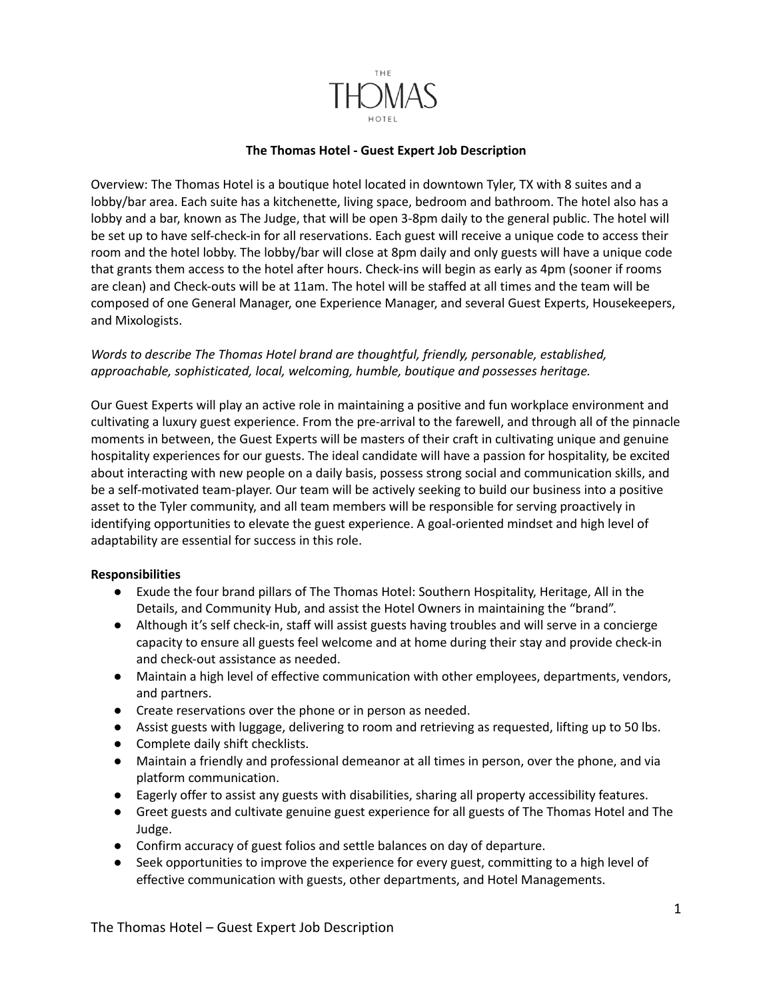

## **The Thomas Hotel - Guest Expert Job Description**

Overview: The Thomas Hotel is a boutique hotel located in downtown Tyler, TX with 8 suites and a lobby/bar area. Each suite has a kitchenette, living space, bedroom and bathroom. The hotel also has a lobby and a bar, known as The Judge, that will be open 3-8pm daily to the general public. The hotel will be set up to have self-check-in for all reservations. Each guest will receive a unique code to access their room and the hotel lobby. The lobby/bar will close at 8pm daily and only guests will have a unique code that grants them access to the hotel after hours. Check-ins will begin as early as 4pm (sooner if rooms are clean) and Check-outs will be at 11am. The hotel will be staffed at all times and the team will be composed of one General Manager, one Experience Manager, and several Guest Experts, Housekeepers, and Mixologists.

## *Words to describe The Thomas Hotel brand are thoughtful, friendly, personable, established, approachable, sophisticated, local, welcoming, humble, boutique and possesses heritage.*

Our Guest Experts will play an active role in maintaining a positive and fun workplace environment and cultivating a luxury guest experience. From the pre-arrival to the farewell, and through all of the pinnacle moments in between, the Guest Experts will be masters of their craft in cultivating unique and genuine hospitality experiences for our guests. The ideal candidate will have a passion for hospitality, be excited about interacting with new people on a daily basis, possess strong social and communication skills, and be a self-motivated team-player. Our team will be actively seeking to build our business into a positive asset to the Tyler community, and all team members will be responsible for serving proactively in identifying opportunities to elevate the guest experience. A goal-oriented mindset and high level of adaptability are essential for success in this role.

## **Responsibilities**

- Exude the four brand pillars of The Thomas Hotel: Southern Hospitality, Heritage, All in the Details, and Community Hub, and assist the Hotel Owners in maintaining the "brand".
- Although it's self check-in, staff will assist guests having troubles and will serve in a concierge capacity to ensure all guests feel welcome and at home during their stay and provide check-in and check-out assistance as needed.
- Maintain a high level of effective communication with other employees, departments, vendors, and partners.
- Create reservations over the phone or in person as needed.
- Assist guests with luggage, delivering to room and retrieving as requested, lifting up to 50 lbs.
- Complete daily shift checklists.
- Maintain a friendly and professional demeanor at all times in person, over the phone, and via platform communication.
- Eagerly offer to assist any guests with disabilities, sharing all property accessibility features.
- Greet guests and cultivate genuine guest experience for all guests of The Thomas Hotel and The Judge.
- Confirm accuracy of guest folios and settle balances on day of departure.
- Seek opportunities to improve the experience for every guest, committing to a high level of effective communication with guests, other departments, and Hotel Managements.